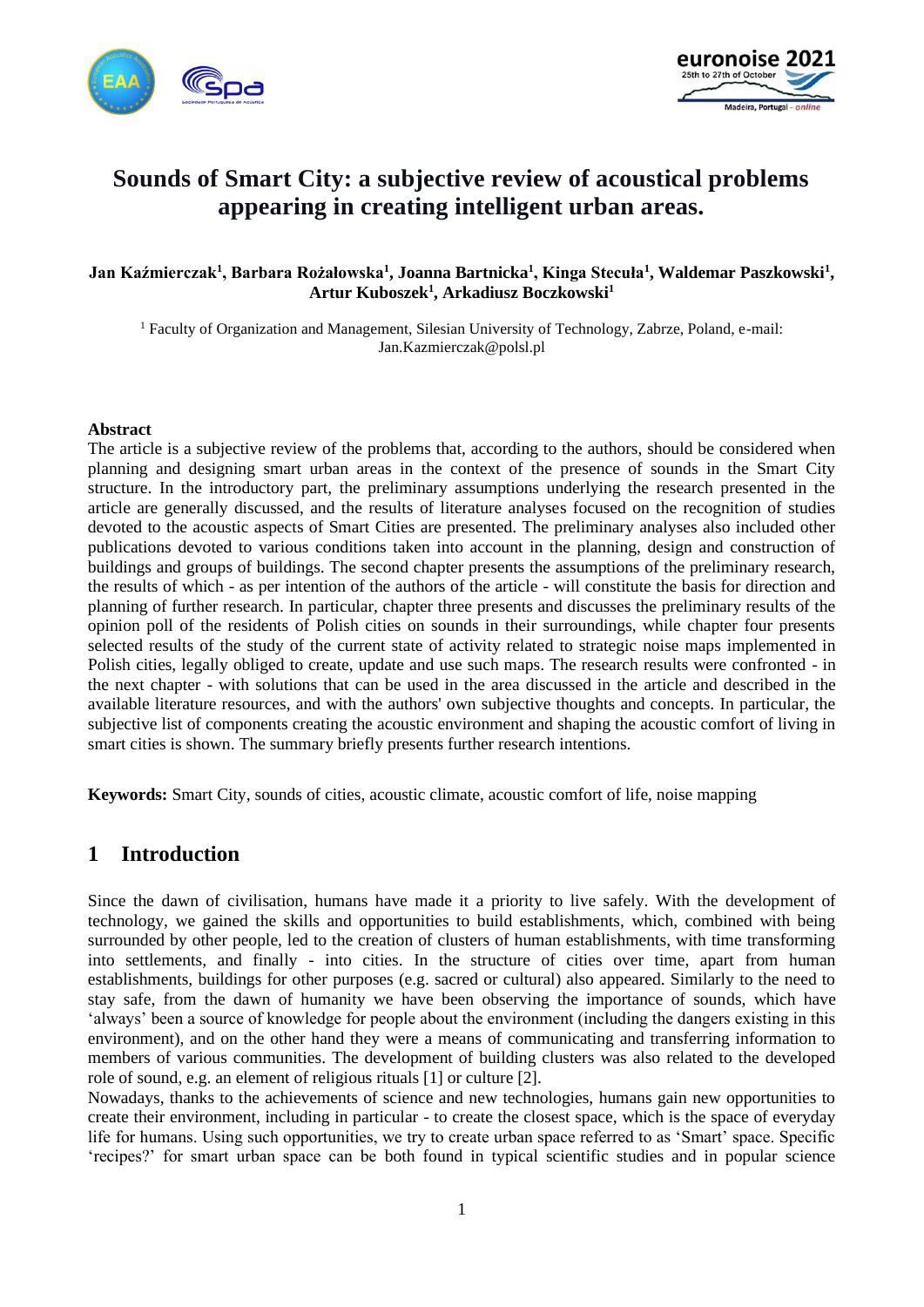



# **Sounds of Smart City: a subjective review of acoustical problems appearing in creating intelligent urban areas.**

#### **Jan Kaźmierczak<sup>1</sup> , Barbara Rożałowska<sup>1</sup> , Joanna Bartnicka<sup>1</sup> , Kinga Stecuła<sup>1</sup> , Waldemar Paszkowski<sup>1</sup> , Artur Kuboszek<sup>1</sup> , Arkadiusz Boczkowski<sup>1</sup>**

<sup>1</sup> Faculty of Organization and Management, Silesian University of Technology, Zabrze, Poland, e-mail: Jan.Kazmierczak@polsl.pl

#### **Abstract**

The article is a subjective review of the problems that, according to the authors, should be considered when planning and designing smart urban areas in the context of the presence of sounds in the Smart City structure. In the introductory part, the preliminary assumptions underlying the research presented in the article are generally discussed, and the results of literature analyses focused on the recognition of studies devoted to the acoustic aspects of Smart Cities are presented. The preliminary analyses also included other publications devoted to various conditions taken into account in the planning, design and construction of buildings and groups of buildings. The second chapter presents the assumptions of the preliminary research, the results of which - as per intention of the authors of the article - will constitute the basis for direction and planning of further research. In particular, chapter three presents and discusses the preliminary results of the opinion poll of the residents of Polish cities on sounds in their surroundings, while chapter four presents selected results of the study of the current state of activity related to strategic noise maps implemented in Polish cities, legally obliged to create, update and use such maps. The research results were confronted - in the next chapter - with solutions that can be used in the area discussed in the article and described in the available literature resources, and with the authors' own subjective thoughts and concepts. In particular, the subjective list of components creating the acoustic environment and shaping the acoustic comfort of living in smart cities is shown. The summary briefly presents further research intentions.

**Keywords:** Smart City, sounds of cities, acoustic climate, acoustic comfort of life, noise mapping

#### **1 Introduction**

Since the dawn of civilisation, humans have made it a priority to live safely. With the development of technology, we gained the skills and opportunities to build establishments, which, combined with being surrounded by other people, led to the creation of clusters of human establishments, with time transforming into settlements, and finally - into cities. In the structure of cities over time, apart from human establishments, buildings for other purposes (e.g. sacred or cultural) also appeared. Similarly to the need to stay safe, from the dawn of humanity we have been observing the importance of sounds, which have 'always' been a source of knowledge for people about the environment (including the dangers existing in this environment), and on the other hand they were a means of communicating and transferring information to members of various communities. The development of building clusters was also related to the developed role of sound, e.g. an element of religious rituals [1] or culture [2].

Nowadays, thanks to the achievements of science and new technologies, humans gain new opportunities to create their environment, including in particular - to create the closest space, which is the space of everyday life for humans. Using such opportunities, we try to create urban space referred to as 'Smart' space. Specific 'recipes?' for smart urban space can be both found in typical scientific studies and in popular science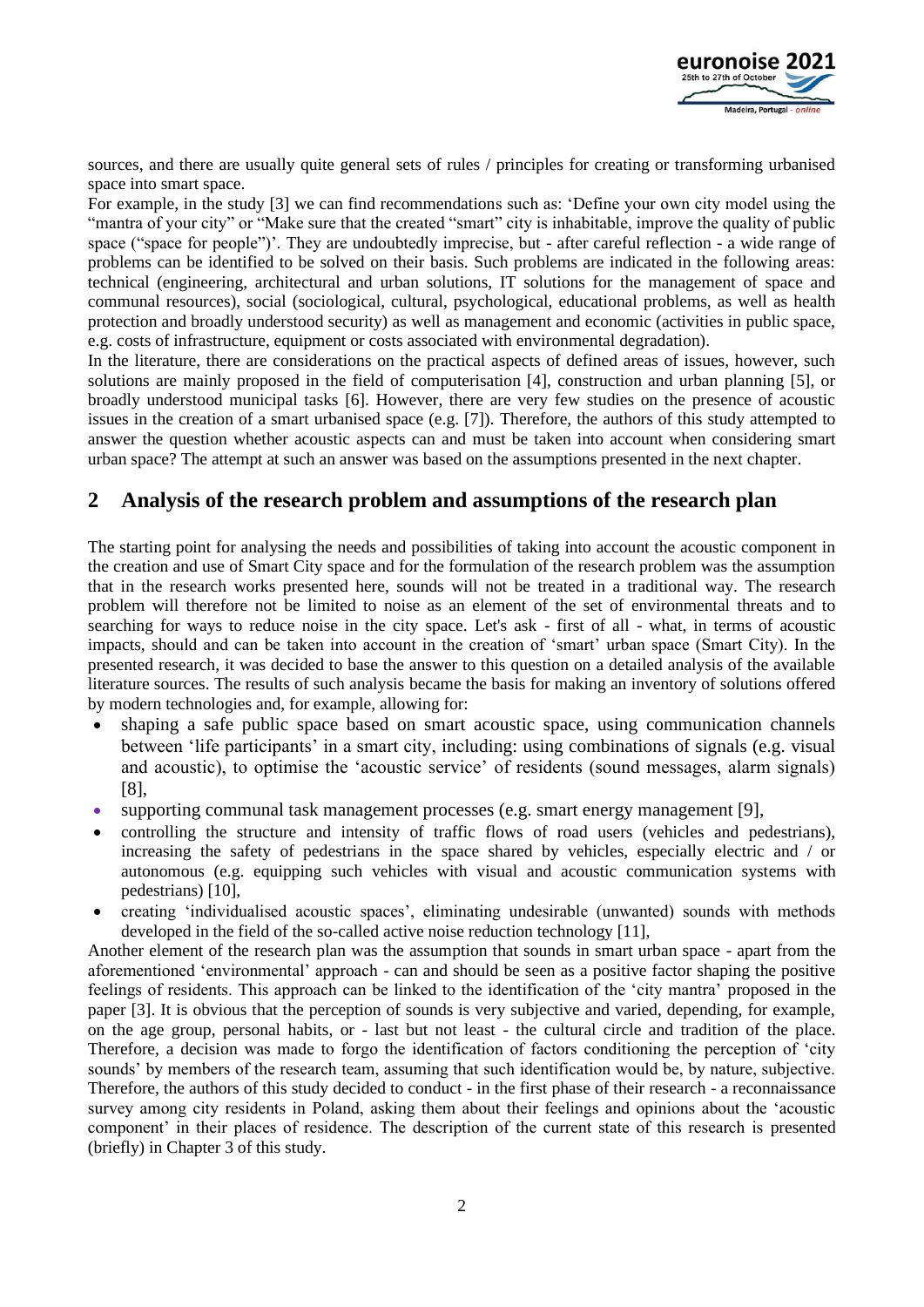

sources, and there are usually quite general sets of rules / principles for creating or transforming urbanised space into smart space.

For example, in the study [3] we can find recommendations such as: 'Define your own city model using the "mantra of your city" or "Make sure that the created "smart" city is inhabitable, improve the quality of public space ("space for people")'. They are undoubtedly imprecise, but - after careful reflection - a wide range of problems can be identified to be solved on their basis. Such problems are indicated in the following areas: technical (engineering, architectural and urban solutions, IT solutions for the management of space and communal resources), social (sociological, cultural, psychological, educational problems, as well as health protection and broadly understood security) as well as management and economic (activities in public space, e.g. costs of infrastructure, equipment or costs associated with environmental degradation).

In the literature, there are considerations on the practical aspects of defined areas of issues, however, such solutions are mainly proposed in the field of computerisation [4], construction and urban planning [5], or broadly understood municipal tasks [6]. However, there are very few studies on the presence of acoustic issues in the creation of a smart urbanised space (e.g. [7]). Therefore, the authors of this study attempted to answer the question whether acoustic aspects can and must be taken into account when considering smart urban space? The attempt at such an answer was based on the assumptions presented in the next chapter.

# **2 Analysis of the research problem and assumptions of the research plan**

The starting point for analysing the needs and possibilities of taking into account the acoustic component in the creation and use of Smart City space and for the formulation of the research problem was the assumption that in the research works presented here, sounds will not be treated in a traditional way. The research problem will therefore not be limited to noise as an element of the set of environmental threats and to searching for ways to reduce noise in the city space. Let's ask - first of all - what, in terms of acoustic impacts, should and can be taken into account in the creation of 'smart' urban space (Smart City). In the presented research, it was decided to base the answer to this question on a detailed analysis of the available literature sources. The results of such analysis became the basis for making an inventory of solutions offered by modern technologies and, for example, allowing for:

- shaping a safe public space based on smart acoustic space, using communication channels between 'life participants' in a smart city, including: using combinations of signals (e.g. visual and acoustic), to optimise the 'acoustic service' of residents (sound messages, alarm signals) [8],
- supporting communal task management processes (e.g. smart energy management [9],
- controlling the structure and intensity of traffic flows of road users (vehicles and pedestrians), increasing the safety of pedestrians in the space shared by vehicles, especially electric and / or autonomous (e.g. equipping such vehicles with visual and acoustic communication systems with pedestrians) [10],
- creating 'individualised acoustic spaces', eliminating undesirable (unwanted) sounds with methods developed in the field of the so-called active noise reduction technology [11],

Another element of the research plan was the assumption that sounds in smart urban space - apart from the aforementioned 'environmental' approach - can and should be seen as a positive factor shaping the positive feelings of residents. This approach can be linked to the identification of the 'city mantra' proposed in the paper [3]. It is obvious that the perception of sounds is very subjective and varied, depending, for example, on the age group, personal habits, or - last but not least - the cultural circle and tradition of the place. Therefore, a decision was made to forgo the identification of factors conditioning the perception of 'city sounds' by members of the research team, assuming that such identification would be, by nature, subjective. Therefore, the authors of this study decided to conduct - in the first phase of their research - a reconnaissance survey among city residents in Poland, asking them about their feelings and opinions about the 'acoustic component' in their places of residence. The description of the current state of this research is presented (briefly) in Chapter 3 of this study.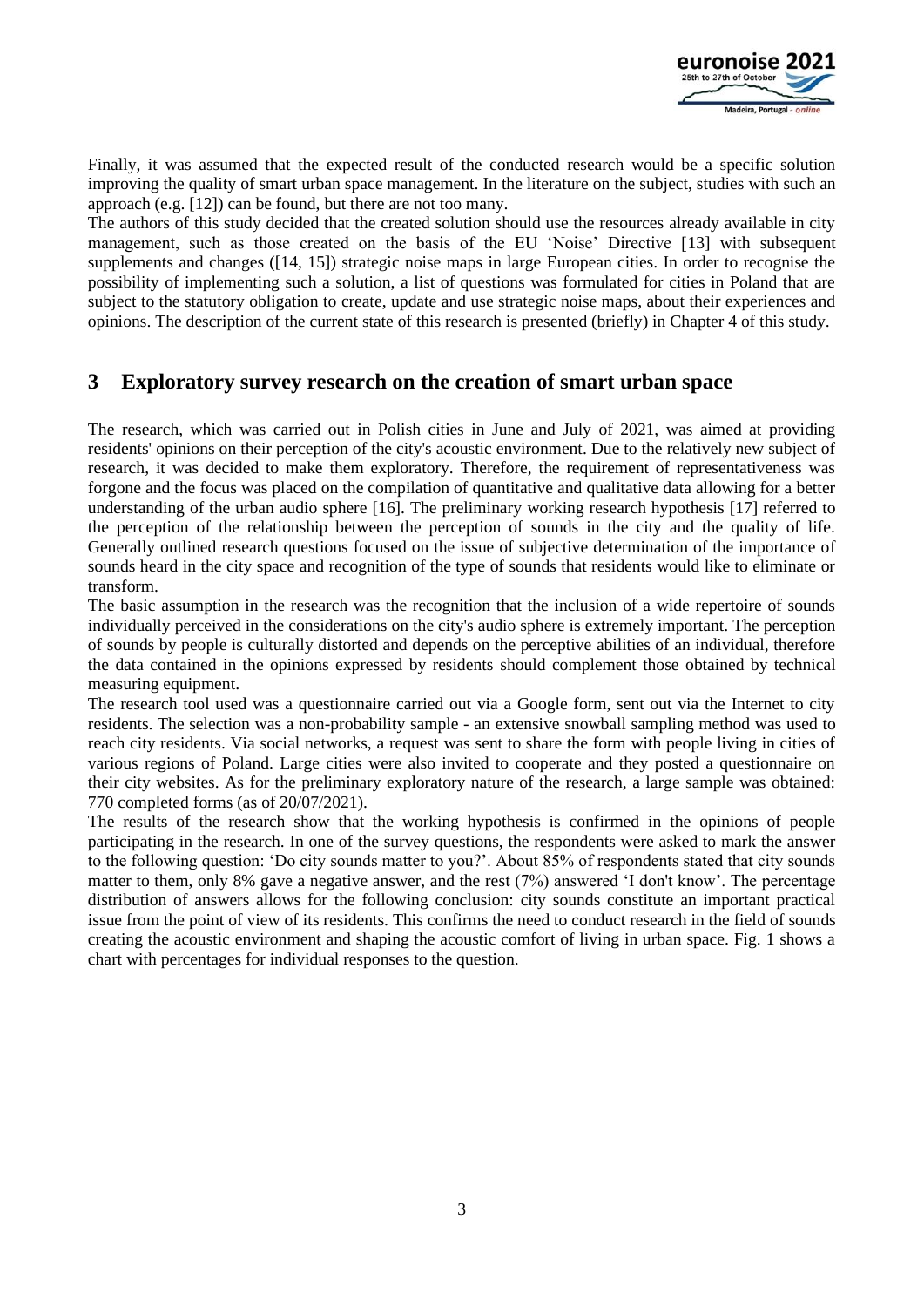

Finally, it was assumed that the expected result of the conducted research would be a specific solution improving the quality of smart urban space management. In the literature on the subject, studies with such an approach (e.g. [12]) can be found, but there are not too many.

The authors of this study decided that the created solution should use the resources already available in city management, such as those created on the basis of the EU 'Noise' Directive [13] with subsequent supplements and changes ([14, 15]) strategic noise maps in large European cities. In order to recognise the possibility of implementing such a solution, a list of questions was formulated for cities in Poland that are subject to the statutory obligation to create, update and use strategic noise maps, about their experiences and opinions. The description of the current state of this research is presented (briefly) in Chapter 4 of this study.

### **3 Exploratory survey research on the creation of smart urban space**

The research, which was carried out in Polish cities in June and July of 2021, was aimed at providing residents' opinions on their perception of the city's acoustic environment. Due to the relatively new subject of research, it was decided to make them exploratory. Therefore, the requirement of representativeness was forgone and the focus was placed on the compilation of quantitative and qualitative data allowing for a better understanding of the urban audio sphere [16]. The preliminary working research hypothesis [17] referred to the perception of the relationship between the perception of sounds in the city and the quality of life. Generally outlined research questions focused on the issue of subjective determination of the importance of sounds heard in the city space and recognition of the type of sounds that residents would like to eliminate or transform.

The basic assumption in the research was the recognition that the inclusion of a wide repertoire of sounds individually perceived in the considerations on the city's audio sphere is extremely important. The perception of sounds by people is culturally distorted and depends on the perceptive abilities of an individual, therefore the data contained in the opinions expressed by residents should complement those obtained by technical measuring equipment.

The research tool used was a questionnaire carried out via a Google form, sent out via the Internet to city residents. The selection was a non-probability sample - an extensive snowball sampling method was used to reach city residents. Via social networks, a request was sent to share the form with people living in cities of various regions of Poland. Large cities were also invited to cooperate and they posted a questionnaire on their city websites. As for the preliminary exploratory nature of the research, a large sample was obtained: 770 completed forms (as of 20/07/2021).

The results of the research show that the working hypothesis is confirmed in the opinions of people participating in the research. In one of the survey questions, the respondents were asked to mark the answer to the following question: 'Do city sounds matter to you?'. About 85% of respondents stated that city sounds matter to them, only 8% gave a negative answer, and the rest (7%) answered 'I don't know'. The percentage distribution of answers allows for the following conclusion: city sounds constitute an important practical issue from the point of view of its residents. This confirms the need to conduct research in the field of sounds creating the acoustic environment and shaping the acoustic comfort of living in urban space. Fig. 1 shows a chart with percentages for individual responses to the question.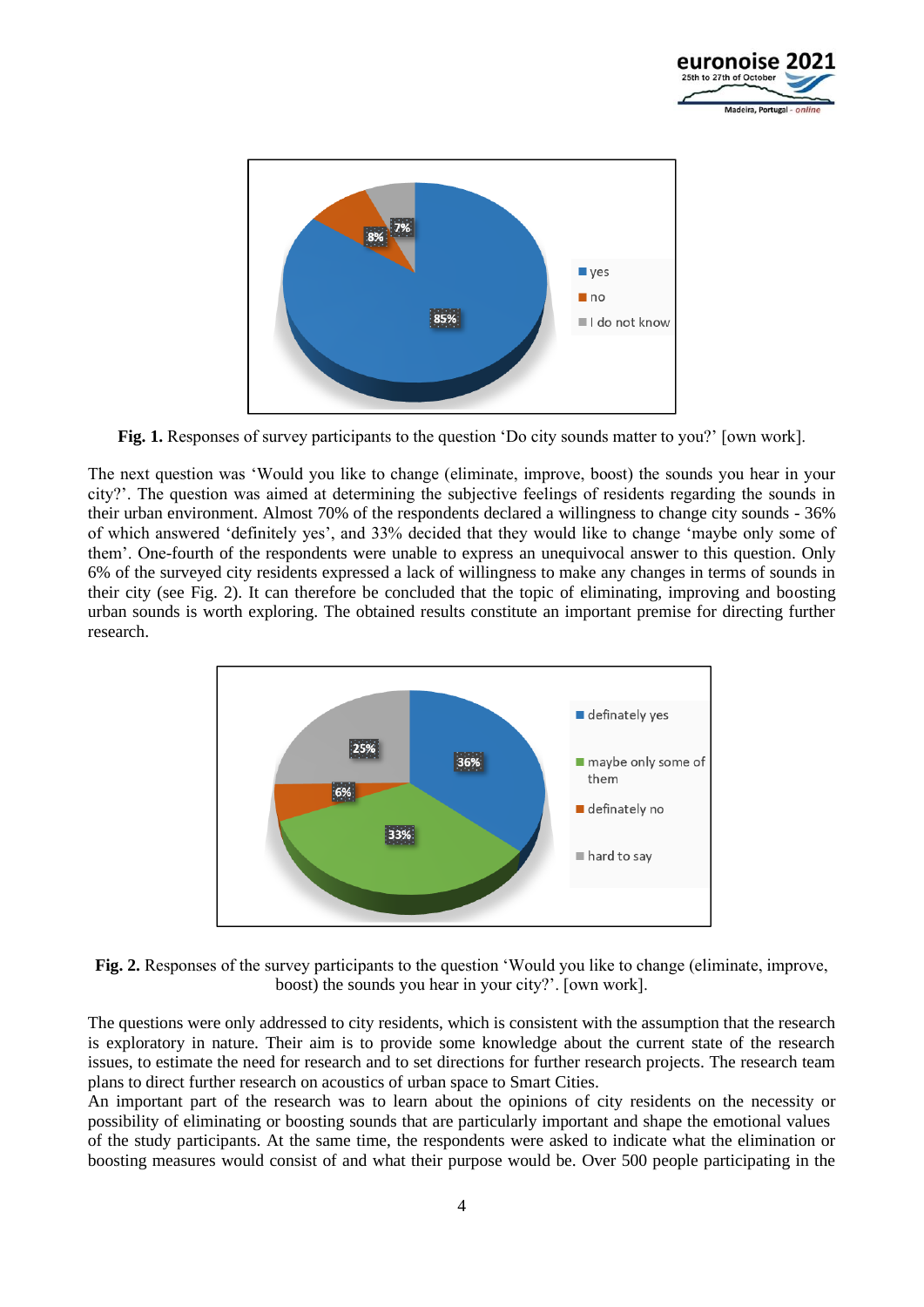



**Fig. 1.** Responses of survey participants to the question 'Do city sounds matter to you?' [own work].

The next question was 'Would you like to change (eliminate, improve, boost) the sounds you hear in your city?'. The question was aimed at determining the subjective feelings of residents regarding the sounds in their urban environment. Almost 70% of the respondents declared a willingness to change city sounds - 36% of which answered 'definitely yes', and 33% decided that they would like to change 'maybe only some of them'. One-fourth of the respondents were unable to express an unequivocal answer to this question. Only 6% of the surveyed city residents expressed a lack of willingness to make any changes in terms of sounds in their city (see Fig. 2). It can therefore be concluded that the topic of eliminating, improving and boosting urban sounds is worth exploring. The obtained results constitute an important premise for directing further research.



**Fig. 2.** Responses of the survey participants to the question 'Would you like to change (eliminate, improve, boost) the sounds you hear in your city?'. [own work].

The questions were only addressed to city residents, which is consistent with the assumption that the research is exploratory in nature. Their aim is to provide some knowledge about the current state of the research issues, to estimate the need for research and to set directions for further research projects. The research team plans to direct further research on acoustics of urban space to Smart Cities.

An important part of the research was to learn about the opinions of city residents on the necessity or possibility of eliminating or boosting sounds that are particularly important and shape the emotional values of the study participants. At the same time, the respondents were asked to indicate what the elimination or boosting measures would consist of and what their purpose would be. Over 500 people participating in the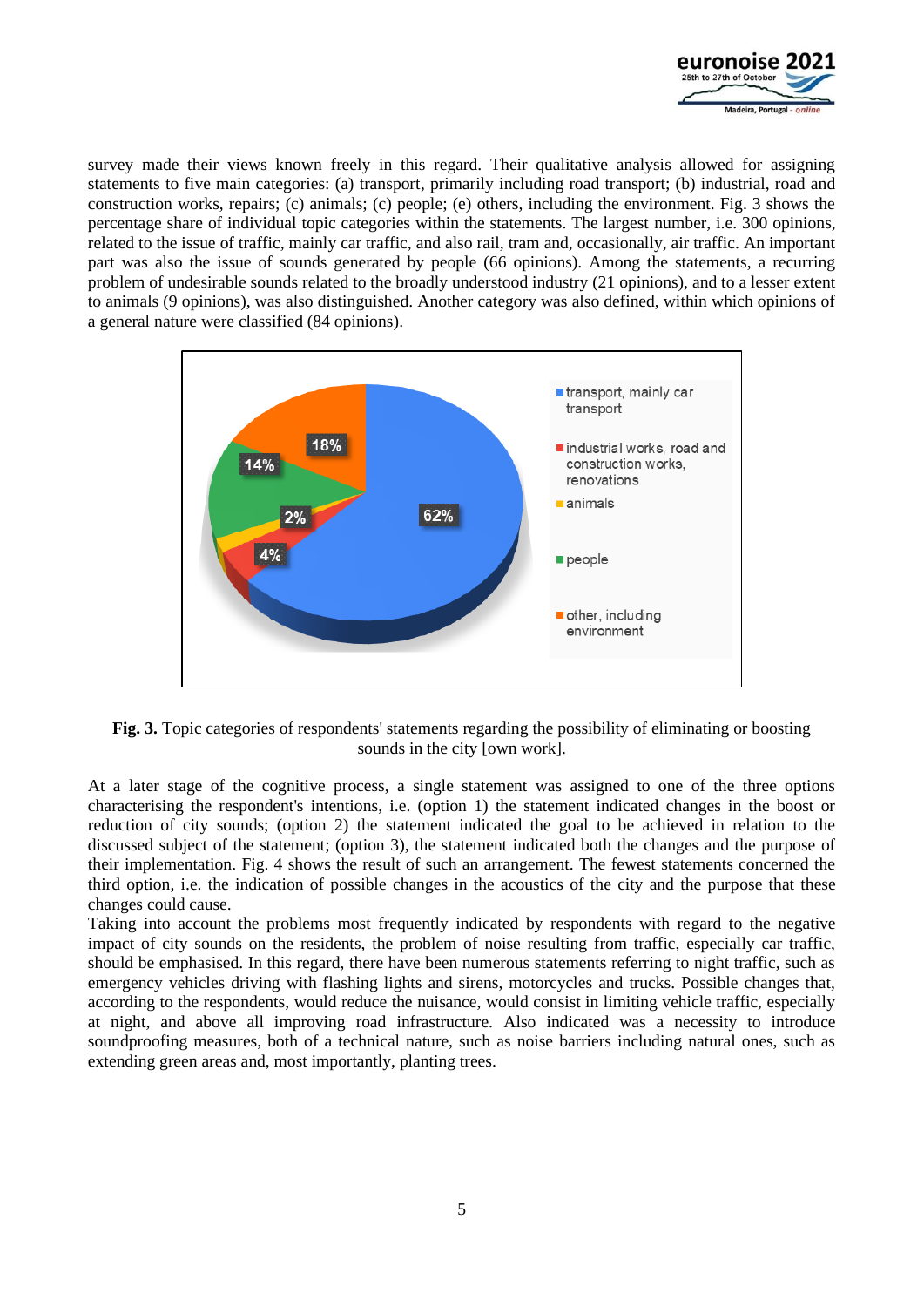

survey made their views known freely in this regard. Their qualitative analysis allowed for assigning statements to five main categories: (a) transport, primarily including road transport; (b) industrial, road and construction works, repairs; (c) animals; (c) people; (e) others, including the environment. Fig. 3 shows the percentage share of individual topic categories within the statements. The largest number, i.e. 300 opinions, related to the issue of traffic, mainly car traffic, and also rail, tram and, occasionally, air traffic. An important part was also the issue of sounds generated by people (66 opinions). Among the statements, a recurring problem of undesirable sounds related to the broadly understood industry (21 opinions), and to a lesser extent to animals (9 opinions), was also distinguished. Another category was also defined, within which opinions of a general nature were classified (84 opinions).



**Fig. 3.** Topic categories of respondents' statements regarding the possibility of eliminating or boosting sounds in the city [own work].

At a later stage of the cognitive process, a single statement was assigned to one of the three options characterising the respondent's intentions, i.e. (option 1) the statement indicated changes in the boost or reduction of city sounds; (option 2) the statement indicated the goal to be achieved in relation to the discussed subject of the statement; (option 3), the statement indicated both the changes and the purpose of their implementation. Fig. 4 shows the result of such an arrangement. The fewest statements concerned the third option, i.e. the indication of possible changes in the acoustics of the city and the purpose that these changes could cause.

Taking into account the problems most frequently indicated by respondents with regard to the negative impact of city sounds on the residents, the problem of noise resulting from traffic, especially car traffic, should be emphasised. In this regard, there have been numerous statements referring to night traffic, such as emergency vehicles driving with flashing lights and sirens, motorcycles and trucks. Possible changes that, according to the respondents, would reduce the nuisance, would consist in limiting vehicle traffic, especially at night, and above all improving road infrastructure. Also indicated was a necessity to introduce soundproofing measures, both of a technical nature, such as noise barriers including natural ones, such as extending green areas and, most importantly, planting trees.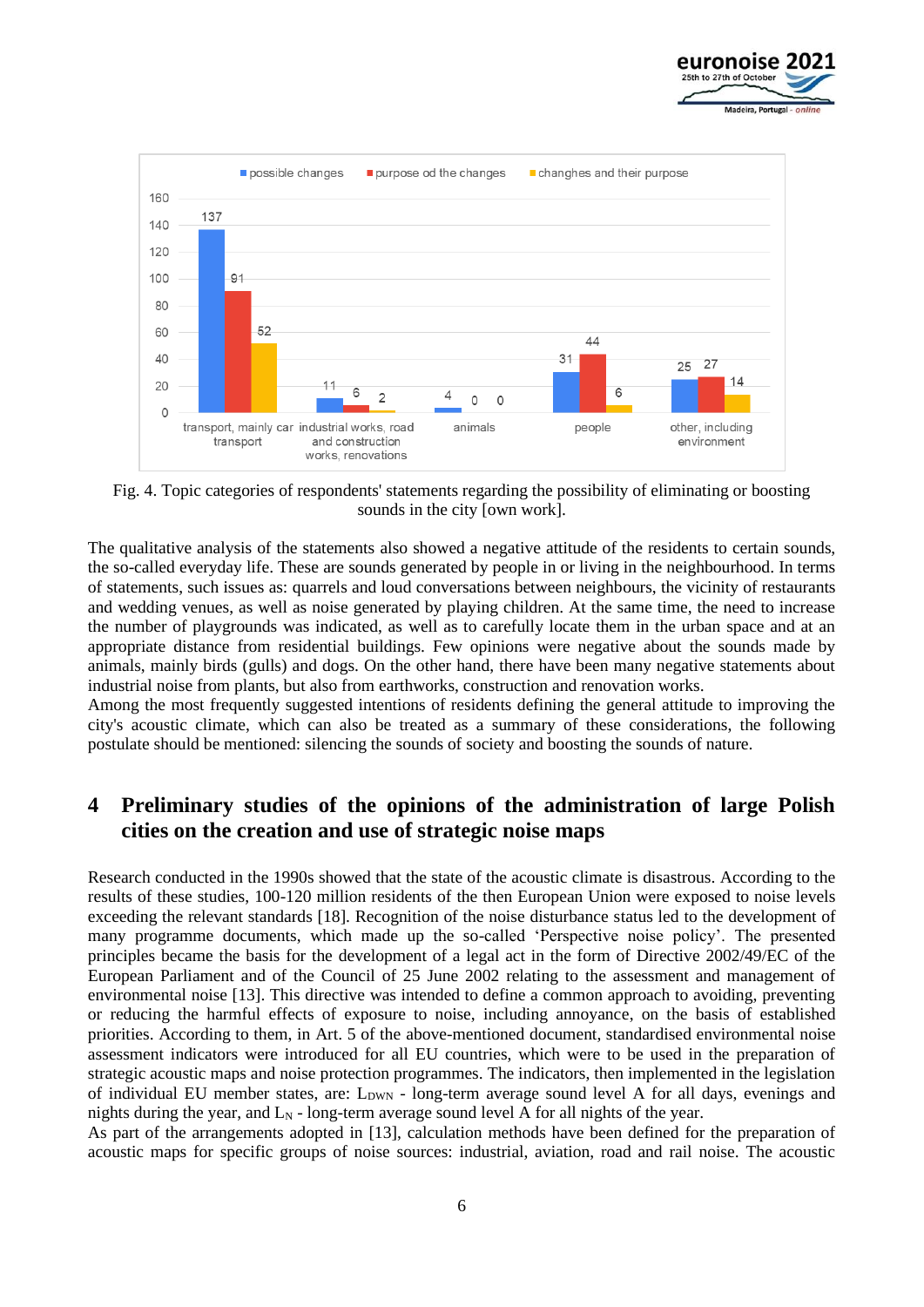



Fig. 4. Topic categories of respondents' statements regarding the possibility of eliminating or boosting sounds in the city [own work].

The qualitative analysis of the statements also showed a negative attitude of the residents to certain sounds, the so-called everyday life. These are sounds generated by people in or living in the neighbourhood. In terms of statements, such issues as: quarrels and loud conversations between neighbours, the vicinity of restaurants and wedding venues, as well as noise generated by playing children. At the same time, the need to increase the number of playgrounds was indicated, as well as to carefully locate them in the urban space and at an appropriate distance from residential buildings. Few opinions were negative about the sounds made by animals, mainly birds (gulls) and dogs. On the other hand, there have been many negative statements about industrial noise from plants, but also from earthworks, construction and renovation works.

Among the most frequently suggested intentions of residents defining the general attitude to improving the city's acoustic climate, which can also be treated as a summary of these considerations, the following postulate should be mentioned: silencing the sounds of society and boosting the sounds of nature.

# **4 Preliminary studies of the opinions of the administration of large Polish cities on the creation and use of strategic noise maps**

Research conducted in the 1990s showed that the state of the acoustic climate is disastrous. According to the results of these studies, 100-120 million residents of the then European Union were exposed to noise levels exceeding the relevant standards [18]. Recognition of the noise disturbance status led to the development of many programme documents, which made up the so-called 'Perspective noise policy'. The presented principles became the basis for the development of a legal act in the form of Directive 2002/49/EC of the European Parliament and of the Council of 25 June 2002 relating to the assessment and management of environmental noise [13]. This directive was intended to define a common approach to avoiding, preventing or reducing the harmful effects of exposure to noise, including annoyance, on the basis of established priorities. According to them, in Art. 5 of the above-mentioned document, standardised environmental noise assessment indicators were introduced for all EU countries, which were to be used in the preparation of strategic acoustic maps and noise protection programmes. The indicators, then implemented in the legislation of individual EU member states, are:  $L_{\text{DWN}}$  - long-term average sound level A for all days, evenings and nights during the year, and  $L<sub>N</sub>$  - long-term average sound level A for all nights of the year.

As part of the arrangements adopted in [13], calculation methods have been defined for the preparation of acoustic maps for specific groups of noise sources: industrial, aviation, road and rail noise. The acoustic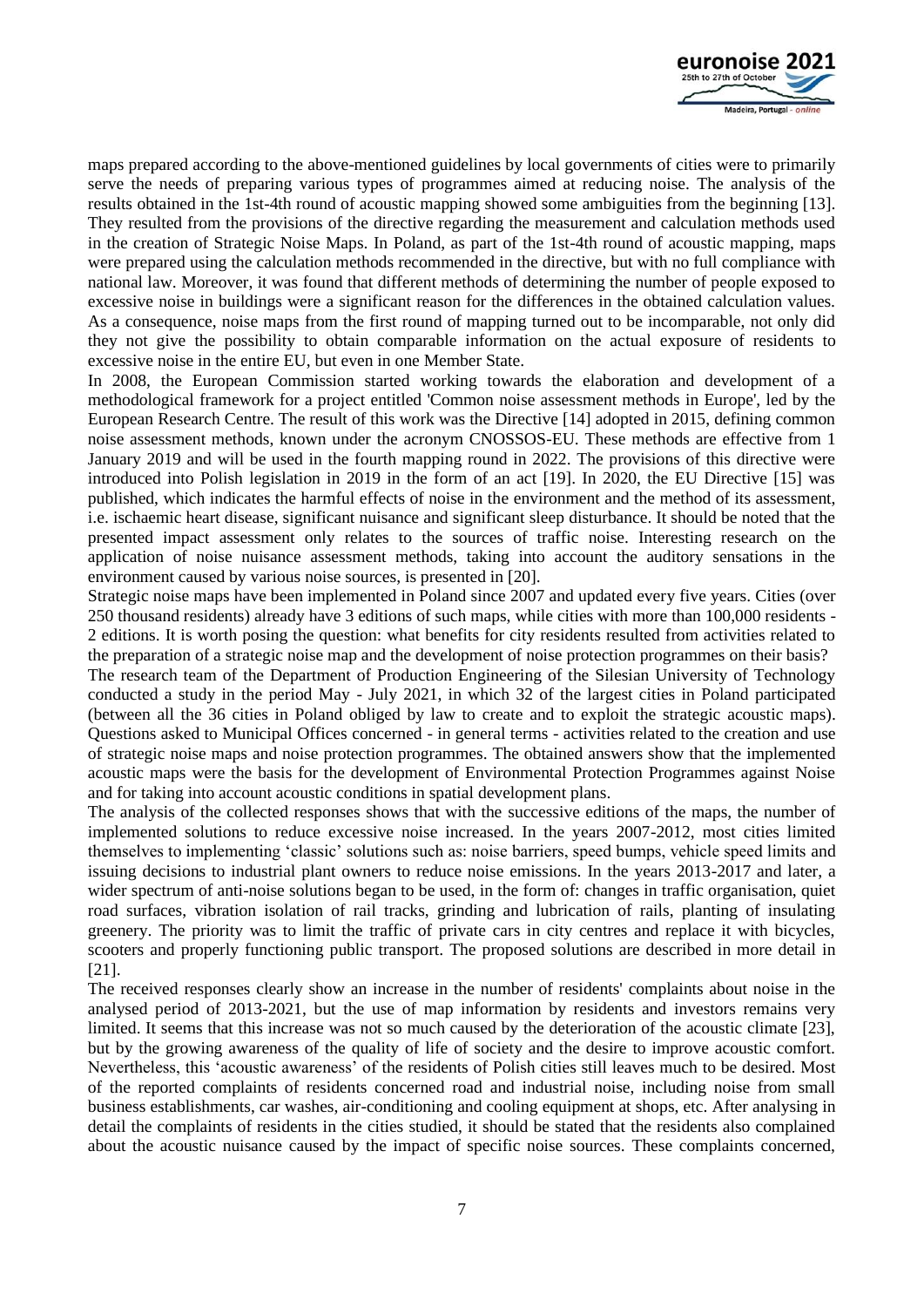

maps prepared according to the above-mentioned guidelines by local governments of cities were to primarily serve the needs of preparing various types of programmes aimed at reducing noise. The analysis of the results obtained in the 1st-4th round of acoustic mapping showed some ambiguities from the beginning [13]. They resulted from the provisions of the directive regarding the measurement and calculation methods used in the creation of Strategic Noise Maps. In Poland, as part of the 1st-4th round of acoustic mapping, maps were prepared using the calculation methods recommended in the directive, but with no full compliance with national law. Moreover, it was found that different methods of determining the number of people exposed to excessive noise in buildings were a significant reason for the differences in the obtained calculation values. As a consequence, noise maps from the first round of mapping turned out to be incomparable, not only did they not give the possibility to obtain comparable information on the actual exposure of residents to excessive noise in the entire EU, but even in one Member State.

In 2008, the European Commission started working towards the elaboration and development of a methodological framework for a project entitled 'Common noise assessment methods in Europe', led by the European Research Centre. The result of this work was the Directive [14] adopted in 2015, defining common noise assessment methods, known under the acronym CNOSSOS-EU. These methods are effective from 1 January 2019 and will be used in the fourth mapping round in 2022. The provisions of this directive were introduced into Polish legislation in 2019 in the form of an act [19]. In 2020, the EU Directive [15] was published, which indicates the harmful effects of noise in the environment and the method of its assessment, i.e. ischaemic heart disease, significant nuisance and significant sleep disturbance. It should be noted that the presented impact assessment only relates to the sources of traffic noise. Interesting research on the application of noise nuisance assessment methods, taking into account the auditory sensations in the environment caused by various noise sources, is presented in [20].

Strategic noise maps have been implemented in Poland since 2007 and updated every five years. Cities (over 250 thousand residents) already have 3 editions of such maps, while cities with more than 100,000 residents - 2 editions. It is worth posing the question: what benefits for city residents resulted from activities related to the preparation of a strategic noise map and the development of noise protection programmes on their basis?

The research team of the Department of Production Engineering of the Silesian University of Technology conducted a study in the period May - July 2021, in which 32 of the largest cities in Poland participated (between all the 36 cities in Poland obliged by law to create and to exploit the strategic acoustic maps). Questions asked to Municipal Offices concerned - in general terms - activities related to the creation and use of strategic noise maps and noise protection programmes. The obtained answers show that the implemented acoustic maps were the basis for the development of Environmental Protection Programmes against Noise and for taking into account acoustic conditions in spatial development plans.

The analysis of the collected responses shows that with the successive editions of the maps, the number of implemented solutions to reduce excessive noise increased. In the years 2007-2012, most cities limited themselves to implementing 'classic' solutions such as: noise barriers, speed bumps, vehicle speed limits and issuing decisions to industrial plant owners to reduce noise emissions. In the years 2013-2017 and later, a wider spectrum of anti-noise solutions began to be used, in the form of: changes in traffic organisation, quiet road surfaces, vibration isolation of rail tracks, grinding and lubrication of rails, planting of insulating greenery. The priority was to limit the traffic of private cars in city centres and replace it with bicycles, scooters and properly functioning public transport. The proposed solutions are described in more detail in [21].

The received responses clearly show an increase in the number of residents' complaints about noise in the analysed period of 2013-2021, but the use of map information by residents and investors remains very limited. It seems that this increase was not so much caused by the deterioration of the acoustic climate [23], but by the growing awareness of the quality of life of society and the desire to improve acoustic comfort. Nevertheless, this 'acoustic awareness' of the residents of Polish cities still leaves much to be desired. Most of the reported complaints of residents concerned road and industrial noise, including noise from small business establishments, car washes, air-conditioning and cooling equipment at shops, etc. After analysing in detail the complaints of residents in the cities studied, it should be stated that the residents also complained about the acoustic nuisance caused by the impact of specific noise sources. These complaints concerned,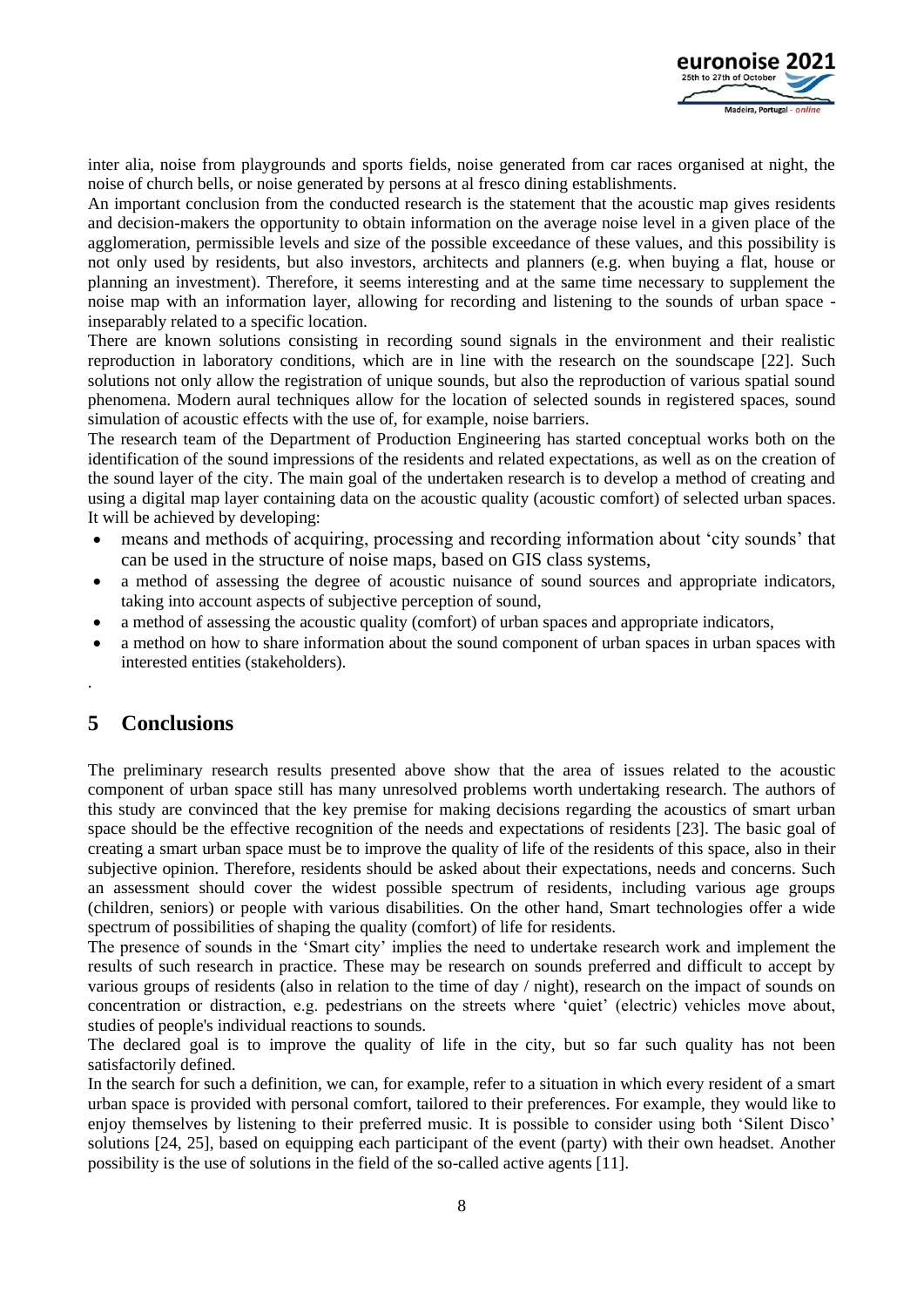

inter alia, noise from playgrounds and sports fields, noise generated from car races organised at night, the noise of church bells, or noise generated by persons at al fresco dining establishments.

An important conclusion from the conducted research is the statement that the acoustic map gives residents and decision-makers the opportunity to obtain information on the average noise level in a given place of the agglomeration, permissible levels and size of the possible exceedance of these values, and this possibility is not only used by residents, but also investors, architects and planners (e.g. when buying a flat, house or planning an investment). Therefore, it seems interesting and at the same time necessary to supplement the noise map with an information layer, allowing for recording and listening to the sounds of urban space inseparably related to a specific location.

There are known solutions consisting in recording sound signals in the environment and their realistic reproduction in laboratory conditions, which are in line with the research on the soundscape [22]. Such solutions not only allow the registration of unique sounds, but also the reproduction of various spatial sound phenomena. Modern aural techniques allow for the location of selected sounds in registered spaces, sound simulation of acoustic effects with the use of, for example, noise barriers.

The research team of the Department of Production Engineering has started conceptual works both on the identification of the sound impressions of the residents and related expectations, as well as on the creation of the sound layer of the city. The main goal of the undertaken research is to develop a method of creating and using a digital map layer containing data on the acoustic quality (acoustic comfort) of selected urban spaces. It will be achieved by developing:

- means and methods of acquiring, processing and recording information about 'city sounds' that can be used in the structure of noise maps, based on GIS class systems,
- a method of assessing the degree of acoustic nuisance of sound sources and appropriate indicators, taking into account aspects of subjective perception of sound,
- a method of assessing the acoustic quality (comfort) of urban spaces and appropriate indicators,
- a method on how to share information about the sound component of urban spaces in urban spaces with interested entities (stakeholders).

# **5 Conclusions**

.

The preliminary research results presented above show that the area of issues related to the acoustic component of urban space still has many unresolved problems worth undertaking research. The authors of this study are convinced that the key premise for making decisions regarding the acoustics of smart urban space should be the effective recognition of the needs and expectations of residents [23]. The basic goal of creating a smart urban space must be to improve the quality of life of the residents of this space, also in their subjective opinion. Therefore, residents should be asked about their expectations, needs and concerns. Such an assessment should cover the widest possible spectrum of residents, including various age groups (children, seniors) or people with various disabilities. On the other hand, Smart technologies offer a wide spectrum of possibilities of shaping the quality (comfort) of life for residents.

The presence of sounds in the 'Smart city' implies the need to undertake research work and implement the results of such research in practice. These may be research on sounds preferred and difficult to accept by various groups of residents (also in relation to the time of day / night), research on the impact of sounds on concentration or distraction, e.g. pedestrians on the streets where 'quiet' (electric) vehicles move about, studies of people's individual reactions to sounds.

The declared goal is to improve the quality of life in the city, but so far such quality has not been satisfactorily defined.

In the search for such a definition, we can, for example, refer to a situation in which every resident of a smart urban space is provided with personal comfort, tailored to their preferences. For example, they would like to enjoy themselves by listening to their preferred music. It is possible to consider using both 'Silent Disco' solutions [24, 25], based on equipping each participant of the event (party) with their own headset. Another possibility is the use of solutions in the field of the so-called active agents [11].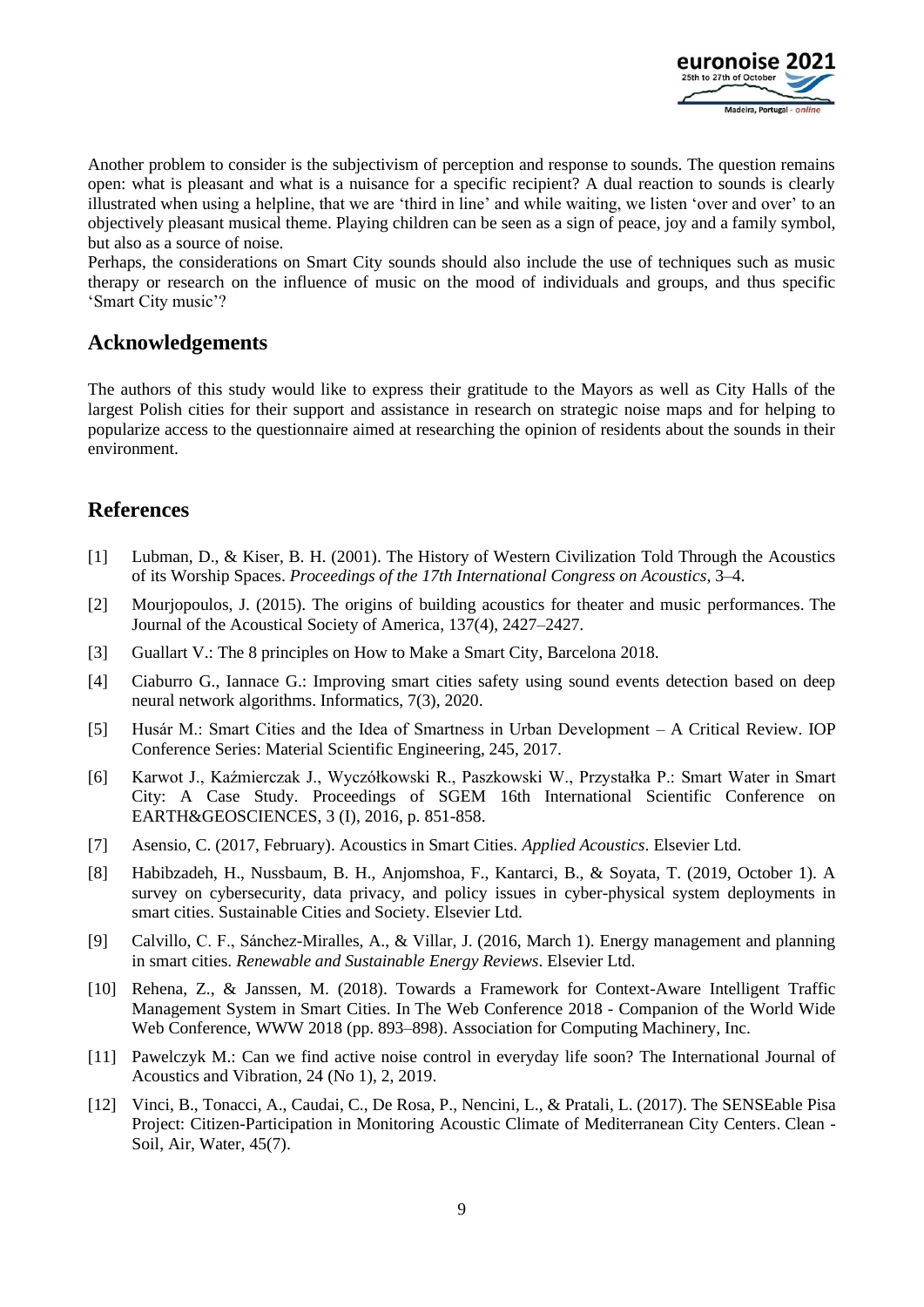

Another problem to consider is the subjectivism of perception and response to sounds. The question remains open: what is pleasant and what is a nuisance for a specific recipient? A dual reaction to sounds is clearly illustrated when using a helpline, that we are 'third in line' and while waiting, we listen 'over and over' to an objectively pleasant musical theme. Playing children can be seen as a sign of peace, joy and a family symbol, but also as a source of noise.

Perhaps, the considerations on Smart City sounds should also include the use of techniques such as music therapy or research on the influence of music on the mood of individuals and groups, and thus specific 'Smart City music'?

## **Acknowledgements**

The authors of this study would like to express their gratitude to the Mayors as well as City Halls of the largest Polish cities for their support and assistance in research on strategic noise maps and for helping to popularize access to the questionnaire aimed at researching the opinion of residents about the sounds in their environment.

# **References**

- [1] Lubman, D., & Kiser, B. H. (2001). The History of Western Civilization Told Through the Acoustics of its Worship Spaces. *Proceedings of the 17th International Congress on Acoustics*, 3–4.
- [2] Mourjopoulos, J. (2015). The origins of building acoustics for theater and music performances. The Journal of the Acoustical Society of America, 137(4), 2427–2427.
- [3] Guallart V.: The 8 principles on How to Make a Smart City, Barcelona 2018.
- [4] Ciaburro G., Iannace G.: Improving smart cities safety using sound events detection based on deep neural network algorithms. Informatics, 7(3), 2020.
- [5] Husár M.: Smart Cities and the Idea of Smartness in Urban Development A Critical Review. IOP Conference Series: Material Scientific Engineering, 245, 2017.
- [6] Karwot J., Kaźmierczak J., Wyczółkowski R., Paszkowski W., Przystałka P.: Smart Water in Smart City: A Case Study. Proceedings of SGEM 16th International Scientific Conference on EARTH&GEOSCIENCES, 3 (I), 2016, p. 851-858.
- [7] Asensio, C. (2017, February). Acoustics in Smart Cities. *Applied Acoustics*. Elsevier Ltd.
- [8] Habibzadeh, H., Nussbaum, B. H., Anjomshoa, F., Kantarci, B., & Soyata, T. (2019, October 1). A survey on cybersecurity, data privacy, and policy issues in cyber-physical system deployments in smart cities. Sustainable Cities and Society. Elsevier Ltd.
- [9] Calvillo, C. F., Sánchez-Miralles, A., & Villar, J. (2016, March 1). Energy management and planning in smart cities. *Renewable and Sustainable Energy Reviews*. Elsevier Ltd.
- [10] Rehena, Z., & Janssen, M. (2018). Towards a Framework for Context-Aware Intelligent Traffic Management System in Smart Cities. In The Web Conference 2018 - Companion of the World Wide Web Conference, WWW 2018 (pp. 893–898). Association for Computing Machinery, Inc.
- [11] Pawelczyk M.: Can we find active noise control in everyday life soon? The International Journal of Acoustics and Vibration, 24 (No 1), 2, 2019.
- [12] Vinci, B., Tonacci, A., Caudai, C., De Rosa, P., Nencini, L., & Pratali, L. (2017). The SENSEable Pisa Project: Citizen-Participation in Monitoring Acoustic Climate of Mediterranean City Centers. Clean - Soil, Air, Water, 45(7).